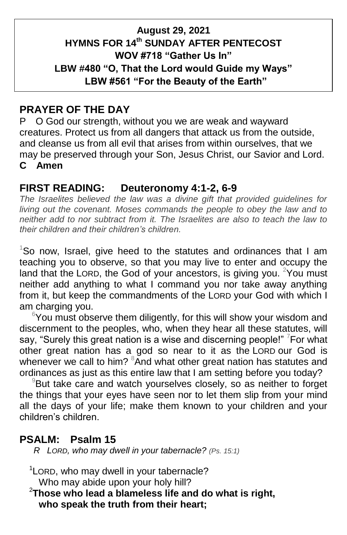### **August 29, 2021 HYMNS FOR 14 th SUNDAY AFTER PENTECOST WOV #718 "Gather Us In" LBW #480 "O, That the Lord would Guide my Ways" LBW #561 "For the Beauty of the Earth"**

#### **PRAYER OF THE DAY**

P O God our strength, without you we are weak and wayward creatures. Protect us from all dangers that attack us from the outside, and cleanse us from all evil that arises from within ourselves, that we may be preserved through your Son, Jesus Christ, our Savior and Lord. **C Amen**

### **FIRST READING: Deuteronomy 4:1-2, 6-9**

*The Israelites believed the law was a divine gift that provided guidelines for living out the covenant. Moses commands the people to obey the law and to neither add to nor subtract from it. The Israelites are also to teach the law to their children and their children's children.*

 $1$ So now, Israel, give heed to the statutes and ordinances that I am teaching you to observe, so that you may live to enter and occupy the land that the LORD, the God of your ancestors, is giving you. <sup>2</sup>You must neither add anything to what I command you nor take away anything from it, but keep the commandments of the LORD your God with which I am charging you.

 $6$ You must observe them diligently, for this will show your wisdom and discernment to the peoples, who, when they hear all these statutes, will say, "Surely this great nation is a wise and discerning people!" <sup>7</sup>For what other great nation has a god so near to it as the LORD our God is whenever we call to him? <sup>8</sup>And what other great nation has statutes and ordinances as just as this entire law that I am setting before you today?

 $9B$ ut take care and watch yourselves closely, so as neither to forget the things that your eyes have seen nor to let them slip from your mind all the days of your life; make them known to your children and your children's children.

### **PSALM: Psalm 15**

 *R LORD, who may dwell in your tabernacle? (Ps. 15:1)*

<sup>1</sup> LORD, who may dwell in your tabernacle? Who may abide upon your holy hill?

<sup>2</sup>**Those who lead a blameless life and do what is right, who speak the truth from their heart;**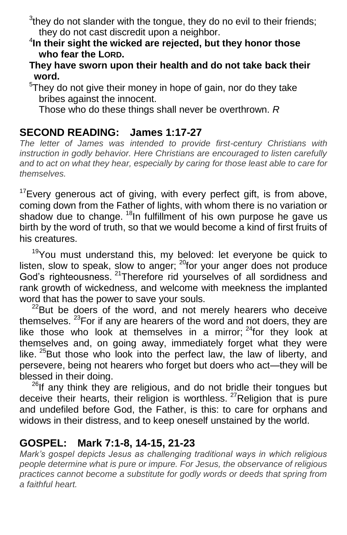$3$ they do not slander with the tongue, they do no evil to their friends; they do not cast discredit upon a neighbor.

- 4 **In their sight the wicked are rejected, but they honor those who fear the LORD.**
- **They have sworn upon their health and do not take back their word.**
- $5$ They do not give their money in hope of gain, nor do they take bribes against the innocent.

Those who do these things shall never be overthrown. *R*

## **SECOND READING: James 1:17-27**

*The letter of James was intended to provide first-century Christians with instruction in godly behavior. Here Christians are encouraged to listen carefully and to act on what they hear, especially by caring for those least able to care for themselves.*

<sup>17</sup>Every generous act of giving, with every perfect gift, is from above, coming down from the Father of lights, with whom there is no variation or shadow due to change. <sup>18</sup>In fulfillment of his own purpose he gave us birth by the word of truth, so that we would become a kind of first fruits of his creatures.

<sup>19</sup>You must understand this, my beloved: let everyone be quick to listen, slow to speak, slow to anger;  $^{20}$ for your anger does not produce God's righteousness. <sup>21</sup>Therefore rid yourselves of all sordidness and rank growth of wickedness, and welcome with meekness the implanted word that has the power to save your souls.

 $22$ But be doers of the word, and not merely hearers who deceive themselves.  $23$  For if any are hearers of the word and not doers, they are like those who look at themselves in a mirror;  $24$  for they look at themselves and, on going away, immediately forget what they were like. <sup>25</sup>But those who look into the perfect law, the law of liberty, and persevere, being not hearers who forget but doers who act—they will be blessed in their doing.

 $26$ If any think they are religious, and do not bridle their tongues but deceive their hearts, their religion is worthless.  $27$ Religion that is pure and undefiled before God, the Father, is this: to care for orphans and widows in their distress, and to keep oneself unstained by the world.

### **GOSPEL: Mark 7:1-8, 14-15, 21-23**

*Mark's gospel depicts Jesus as challenging traditional ways in which religious people determine what is pure or impure. For Jesus, the observance of religious practices cannot become a substitute for godly words or deeds that spring from a faithful heart.*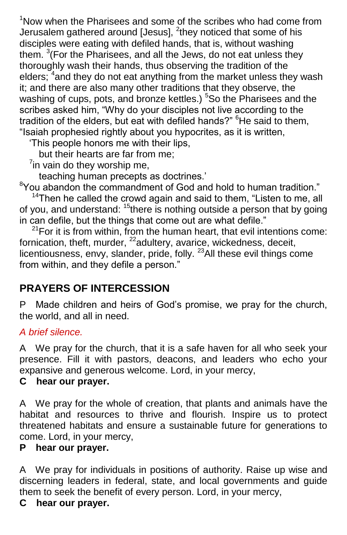$1$ Now when the Pharisees and some of the scribes who had come from Jerusalem gathered around [Jesus], <sup>2</sup>they noticed that some of his disciples were eating with defiled hands, that is, without washing them.  $3$ (For the Pharisees, and all the Jews, do not eat unless they thoroughly wash their hands, thus observing the tradition of the elders; <sup>4</sup> and they do not eat anything from the market unless they wash it; and there are also many other traditions that they observe, the washing of cups, pots, and bronze kettles.)  $5$ So the Pharisees and the scribes asked him, "Why do your disciples not live according to the tradition of the elders, but eat with defiled hands?" <sup>6</sup>He said to them, "Isaiah prophesied rightly about you hypocrites, as it is written,

'This people honors me with their lips,

but their hearts are far from me;

 $7$ in vain do they worship me,

teaching human precepts as doctrines.'

 $8$ You abandon the commandment of God and hold to human tradition."

 $14$ Then he called the crowd again and said to them, "Listen to me, all of you, and understand:  $15$  there is nothing outside a person that by going in can defile, but the things that come out are what defile."

 $21$ For it is from within, from the human heart, that evil intentions come: fornication, theft, murder, <sup>22</sup>adultery, avarice, wickedness, deceit, licentiousness, envy, slander, pride, folly.  $23$ All these evil things come from within, and they defile a person."

# **PRAYERS OF INTERCESSION**

P Made children and heirs of God's promise, we pray for the church, the world, and all in need.

#### *A brief silence.*

A We pray for the church, that it is a safe haven for all who seek your presence. Fill it with pastors, deacons, and leaders who echo your expansive and generous welcome. Lord, in your mercy,

#### **C hear our prayer.**

A We pray for the whole of creation, that plants and animals have the habitat and resources to thrive and flourish. Inspire us to protect threatened habitats and ensure a sustainable future for generations to come. Lord, in your mercy,

### **P hear our prayer.**

A We pray for individuals in positions of authority. Raise up wise and discerning leaders in federal, state, and local governments and guide them to seek the benefit of every person. Lord, in your mercy,

#### **C hear our prayer.**